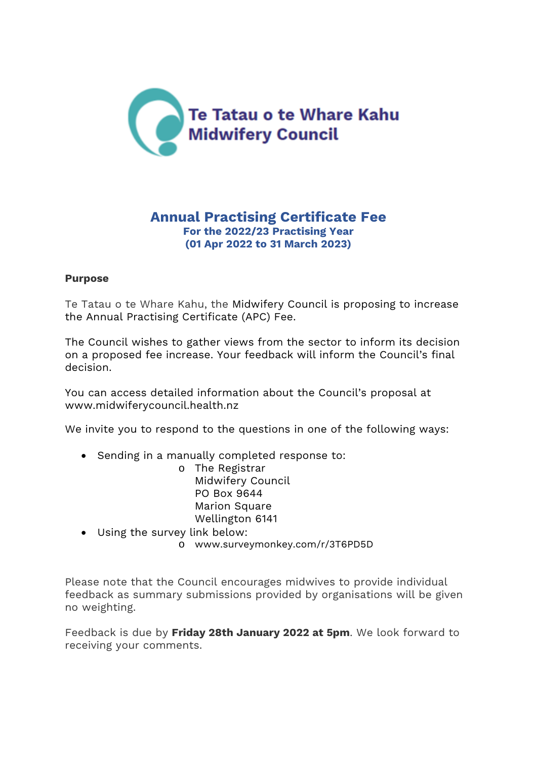

## **Annual Practising Certificate Fee For the 2022/23 Practising Year (01 Apr 2022 to 31 March 2023)**

### **Purpose**

Te Tatau o te Whare Kahu, the Midwifery Council is proposing to increase the Annual Practising Certificate (APC) Fee.

The Council wishes to gather views from the sector to inform its decision on a proposed fee increase. Your feedback will inform the Council's final decision.

You can access detailed information about the Council's proposal at www.midwiferycouncil.health.nz

We invite you to respond to the questions in one of the following ways:

- Sending in a manually completed response to:
	- o The Registrar Midwifery Council PO Box 9644 Marion Square Wellington 6141
- Using the survey link below:
	- o www.surveymonkey.com/r/3T6PD5D

Please note that the Council encourages midwives to provide individual feedback as summary submissions provided by organisations will be given no weighting.

Feedback is due by **Friday 28th January 2022 at 5pm**. We look forward to receiving your comments.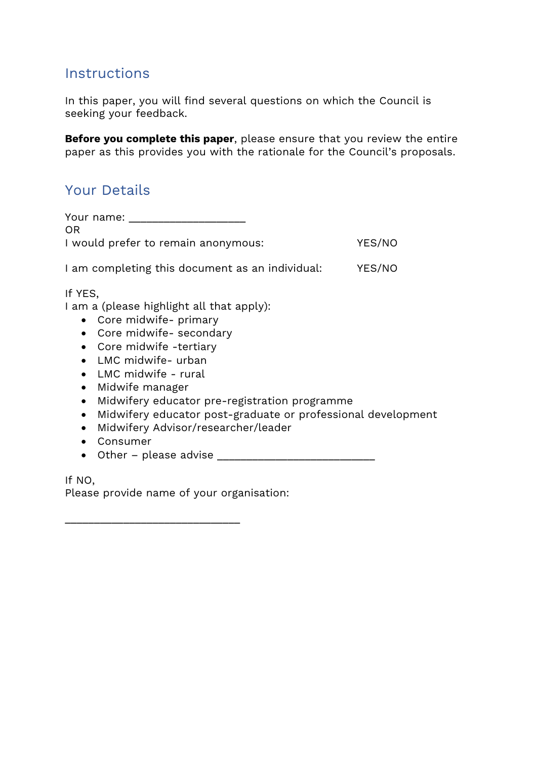# **Instructions**

In this paper, you will find several questions on which the Council is seeking your feedback.

**Before you complete this paper**, please ensure that you review the entire paper as this provides you with the rationale for the Council's proposals.

# Your Details

| Your name:<br><b>OR</b>                                                                                                                                                     |        |
|-----------------------------------------------------------------------------------------------------------------------------------------------------------------------------|--------|
| I would prefer to remain anonymous:                                                                                                                                         | YES/NO |
| I am completing this document as an individual:                                                                                                                             | YES/NO |
| If YES,<br>I am a (please highlight all that apply):<br>• Core midwife- primary<br>Core midwife- secondary<br>$\bullet$<br>• Core midwife -tertiary<br>• LMC midwife- urban |        |

- LMC midwife rural
- Midwife manager
- Midwifery educator pre-registration programme
- Midwifery educator post-graduate or professional development
- Midwifery Advisor/researcher/leader
- Consumer
- $\bullet$  Other please advise  $\_\_$

If NO, Please provide name of your organisation:

\_\_\_\_\_\_\_\_\_\_\_\_\_\_\_\_\_\_\_\_\_\_\_\_\_\_\_\_\_\_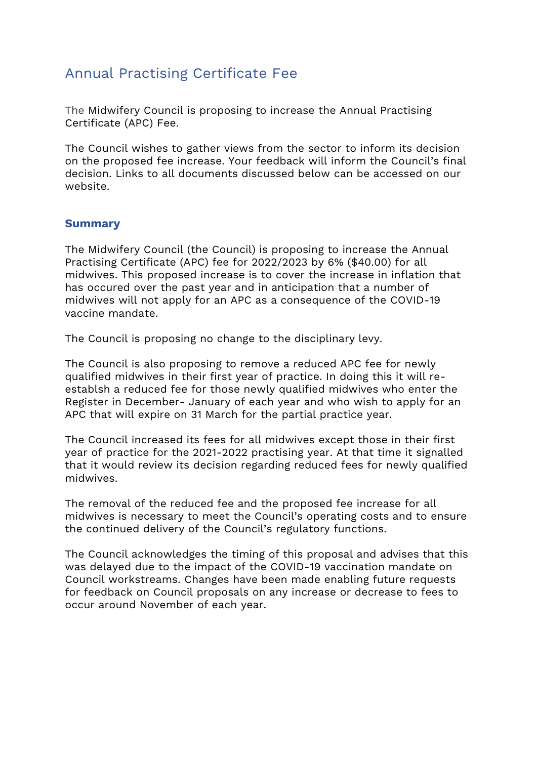# Annual Practising Certificate Fee

The Midwifery Council is proposing to increase the Annual Practising Certificate (APC) Fee.

The Council wishes to gather views from the sector to inform its decision on the proposed fee increase. Your feedback will inform the Council's final decision. Links to all documents discussed below can be accessed on our website.

### **Summary**

The Midwifery Council (the Council) is proposing to increase the Annual Practising Certificate (APC) fee for 2022/2023 by 6% (\$40.00) for all midwives. This proposed increase is to cover the increase in inflation that has occured over the past year and in anticipation that a number of midwives will not apply for an APC as a consequence of the COVID-19 vaccine mandate.

The Council is proposing no change to the disciplinary levy.

The Council is also proposing to remove a reduced APC fee for newly qualified midwives in their first year of practice. In doing this it will reestablsh a reduced fee for those newly qualified midwives who enter the Register in December- January of each year and who wish to apply for an APC that will expire on 31 March for the partial practice year.

The Council increased its fees for all midwives except those in their first year of practice for the 2021-2022 practising year. At that time it signalled that it would review its decision regarding reduced fees for newly qualified midwives.

The removal of the reduced fee and the proposed fee increase for all midwives is necessary to meet the Council's operating costs and to ensure the continued delivery of the Council's regulatory functions.

The Council acknowledges the timing of this proposal and advises that this was delayed due to the impact of the COVID-19 vaccination mandate on Council workstreams. Changes have been made enabling future requests for feedback on Council proposals on any increase or decrease to fees to occur around November of each year.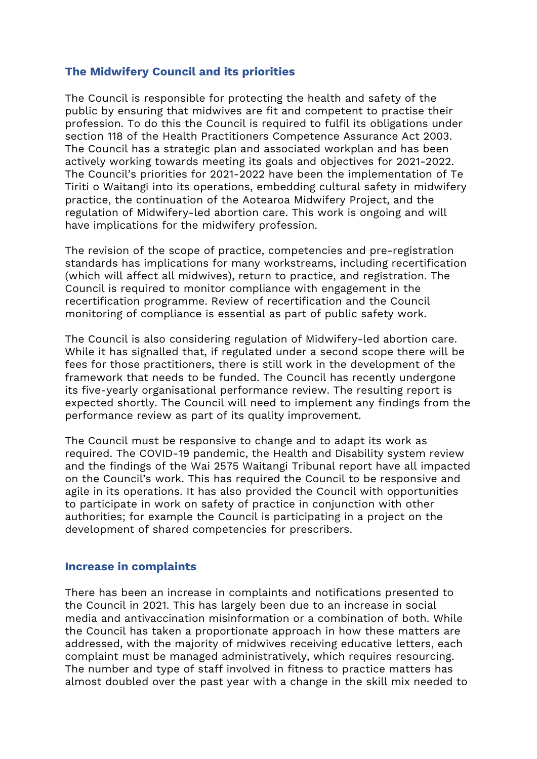### **The Midwifery Council and its priorities**

The Council is responsible for protecting the health and safety of the public by ensuring that midwives are fit and competent to practise their profession. To do this the Council is required to fulfil its obligations under section 118 of the Health Practitioners Competence Assurance Act 2003. The Council has a strategic plan and associated workplan and has been actively working towards meeting its goals and objectives for 2021-2022. The Council's priorities for 2021-2022 have been the implementation of Te Tiriti o Waitangi into its operations, embedding cultural safety in midwifery practice, the continuation of the Aotearoa Midwifery Project, and the regulation of Midwifery-led abortion care. This work is ongoing and will have implications for the midwifery profession.

The revision of the scope of practice, competencies and pre-registration standards has implications for many workstreams, including recertification (which will affect all midwives), return to practice, and registration. The Council is required to monitor compliance with engagement in the recertification programme. Review of recertification and the Council monitoring of compliance is essential as part of public safety work.

The Council is also considering regulation of Midwifery-led abortion care. While it has signalled that, if regulated under a second scope there will be fees for those practitioners, there is still work in the development of the framework that needs to be funded. The Council has recently undergone its five-yearly organisational performance review. The resulting report is expected shortly. The Council will need to implement any findings from the performance review as part of its quality improvement.

The Council must be responsive to change and to adapt its work as required. The COVID-19 pandemic, the Health and Disability system review and the findings of the Wai 2575 Waitangi Tribunal report have all impacted on the Council's work. This has required the Council to be responsive and agile in its operations. It has also provided the Council with opportunities to participate in work on safety of practice in conjunction with other authorities; for example the Council is participating in a project on the development of shared competencies for prescribers.

#### **Increase in complaints**

There has been an increase in complaints and notifications presented to the Council in 2021. This has largely been due to an increase in social media and antivaccination misinformation or a combination of both. While the Council has taken a proportionate approach in how these matters are addressed, with the majority of midwives receiving educative letters, each complaint must be managed administratively, which requires resourcing. The number and type of staff involved in fitness to practice matters has almost doubled over the past year with a change in the skill mix needed to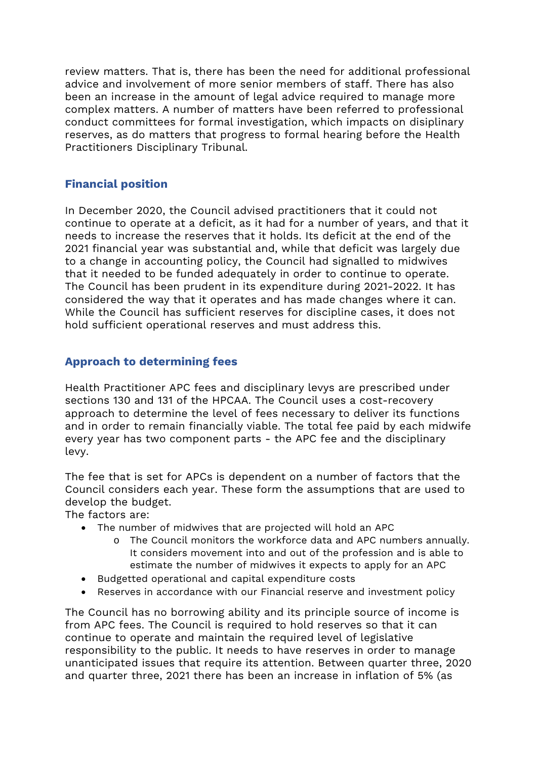review matters. That is, there has been the need for additional professional advice and involvement of more senior members of staff. There has also been an increase in the amount of legal advice required to manage more complex matters. A number of matters have been referred to professional conduct committees for formal investigation, which impacts on disiplinary reserves, as do matters that progress to formal hearing before the Health Practitioners Disciplinary Tribunal.

## **Financial position**

In December 2020, the Council advised practitioners that it could not continue to operate at a deficit, as it had for a number of years, and that it needs to increase the reserves that it holds. Its deficit at the end of the 2021 financial year was substantial and, while that deficit was largely due to a change in accounting policy, the Council had signalled to midwives that it needed to be funded adequately in order to continue to operate. The Council has been prudent in its expenditure during 2021-2022. It has considered the way that it operates and has made changes where it can. While the Council has sufficient reserves for discipline cases, it does not hold sufficient operational reserves and must address this.

## **Approach to determining fees**

Health Practitioner APC fees and disciplinary levys are prescribed under sections 130 and 131 of the HPCAA. The Council uses a cost-recovery approach to determine the level of fees necessary to deliver its functions and in order to remain financially viable. The total fee paid by each midwife every year has two component parts - the APC fee and the disciplinary levy.

The fee that is set for APCs is dependent on a number of factors that the Council considers each year. These form the assumptions that are used to develop the budget.

The factors are:

- The number of midwives that are projected will hold an APC
	- o The Council monitors the workforce data and APC numbers annually. It considers movement into and out of the profession and is able to estimate the number of midwives it expects to apply for an APC
- Budgetted operational and capital expenditure costs
- Reserves in accordance with our Financial reserve and investment policy

The Council has no borrowing ability and its principle source of income is from APC fees. The Council is required to hold reserves so that it can continue to operate and maintain the required level of legislative responsibility to the public. It needs to have reserves in order to manage unanticipated issues that require its attention. Between quarter three, 2020 and quarter three, 2021 there has been an increase in inflation of 5% (as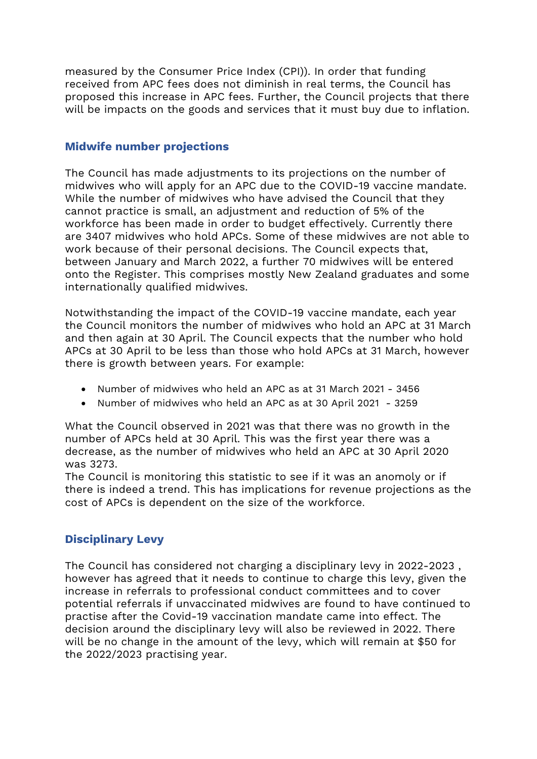measured by the Consumer Price Index (CPI)). In order that funding received from APC fees does not diminish in real terms, the Council has proposed this increase in APC fees. Further, the Council projects that there will be impacts on the goods and services that it must buy due to inflation.

### **Midwife number projections**

The Council has made adjustments to its projections on the number of midwives who will apply for an APC due to the COVID-19 vaccine mandate. While the number of midwives who have advised the Council that they cannot practice is small, an adjustment and reduction of 5% of the workforce has been made in order to budget effectively. Currently there are 3407 midwives who hold APCs. Some of these midwives are not able to work because of their personal decisions. The Council expects that, between January and March 2022, a further 70 midwives will be entered onto the Register. This comprises mostly New Zealand graduates and some internationally qualified midwives.

Notwithstanding the impact of the COVID-19 vaccine mandate, each year the Council monitors the number of midwives who hold an APC at 31 March and then again at 30 April. The Council expects that the number who hold APCs at 30 April to be less than those who hold APCs at 31 March, however there is growth between years. For example:

- Number of midwives who held an APC as at 31 March 2021 3456
- Number of midwives who held an APC as at 30 April 2021 3259

What the Council observed in 2021 was that there was no growth in the number of APCs held at 30 April. This was the first year there was a decrease, as the number of midwives who held an APC at 30 April 2020 was 3273.

The Council is monitoring this statistic to see if it was an anomoly or if there is indeed a trend. This has implications for revenue projections as the cost of APCs is dependent on the size of the workforce.

## **Disciplinary Levy**

The Council has considered not charging a disciplinary levy in 2022-2023 , however has agreed that it needs to continue to charge this levy, given the increase in referrals to professional conduct committees and to cover potential referrals if unvaccinated midwives are found to have continued to practise after the Covid-19 vaccination mandate came into effect. The decision around the disciplinary levy will also be reviewed in 2022. There will be no change in the amount of the levy, which will remain at \$50 for the 2022/2023 practising year.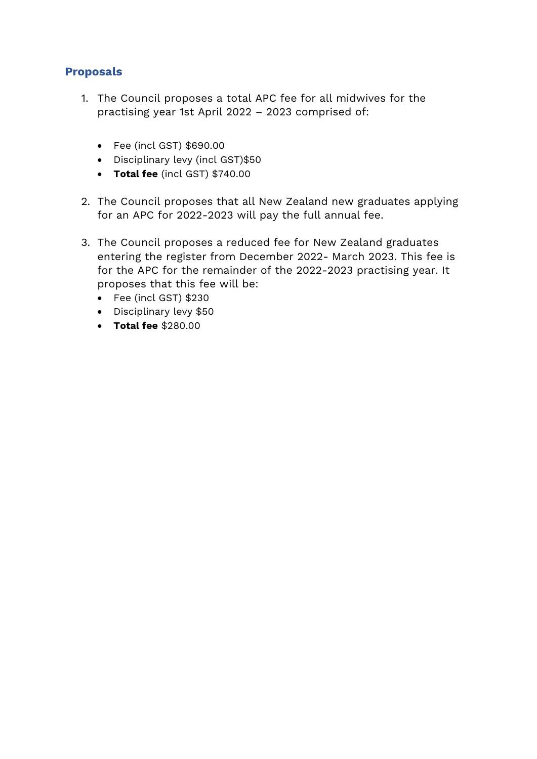## **Proposals**

- 1. The Council proposes a total APC fee for all midwives for the practising year 1st April 2022 – 2023 comprised of:
	- Fee (incl GST) \$690.00
	- Disciplinary levy (incl GST)\$50
	- **Total fee** (incl GST) \$740.00
- 2. The Council proposes that all New Zealand new graduates applying for an APC for 2022-2023 will pay the full annual fee.
- 3. The Council proposes a reduced fee for New Zealand graduates entering the register from December 2022- March 2023. This fee is for the APC for the remainder of the 2022-2023 practising year. It proposes that this fee will be:
	- Fee (incl GST) \$230
	- Disciplinary levy \$50
	- **Total fee** \$280.00